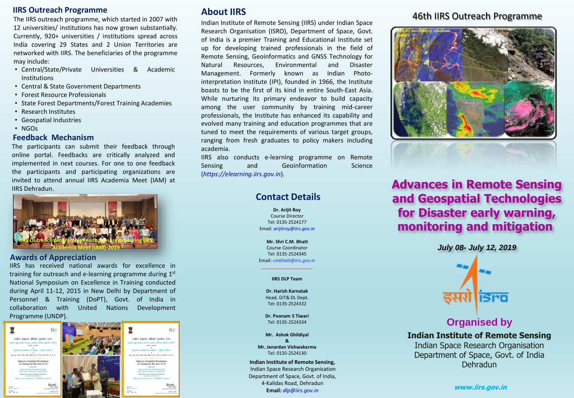## **IIRS Outreach Programme**

The IIRS outreach programme, which started in 2007 with 12 universities/ institutions has now grown substantially. Currently, 920+ universities / institutions spread across India covering 29 States and 2 Union Territories are networked with IIRS. The beneficiaries of the programme may include:

- Central/State/Private Universities & Academic Institutions
- Central & State Government Departments
- Forest Resource Professionals
- State Forest Departments/Forest Training Academies
- Research Institutes
- Geospatial Industries
- NGOs

#### **Feedback Mechanism**

The participants can submit their feedback through online portal. Feedbacks are critically analyzed and implemented in next courses. For one to one feedback the participants and participating organizations are invited to attend annual IIRS Academia Meet (IAM) at IIRS Dehradun.



#### **Awards of Appreciation**

IIRS has received national awards for excellence in training for outreach and e-learning programme during 1st National Symposium on Excellence in Training conducted during April 11-12, 2015 in New Delhi by Department of Personnel & Training (DoPT), Govt. of India in collaboration with United Nations Development Programme (UNDP).



# **About IIRS**

Indian Institute of Remote Sensing (IIRS) under Indian Space Research Organisation (ISRO), Department of Space, Govt. of India is a premier Training and Educational Institute set up for developing trained professionals in the field of Remote Sensing, Geoinformatics and GNSS Technology for Natural Resources, Environmental and Disaster Management. Formerly known as Indian Photointerpretation Institute (IPI), founded in 1966, the Institute boasts to be the first of its kind in entire South-East Asia. While nurturing its primary endeavor to build capacity among the user community by training mid-career professionals, the Institute has enhanced its capability and evolved many training and education programmes that are tuned to meet the requirements of various target groups, ranging from fresh graduates to policy makers including academia.

IIRS also conducts e-learning programme on Remote Sensing and Geoinformation Science (*https://elearning.iirs.gov.in*).

# **Contact Details**

**Dr. Arijit Roy**  Course Director Tel: 0135-2524177 Email: *arijitroy@iirs.gov.in*

**Mr. Shri C.M. Bhatt**  Course Coordinator Tel: 0135-2524345 Email: *cmbhatt@iirs.gov.in*

## \_\_\_\_\_\_\_\_\_\_\_\_\_\_\_\_\_\_\_\_ **IIRS DLP Team**

**Dr. Harish Karnatak** Head, GIT& DL Dept. Tel: 0135-2524332

**Dr. Poonam S Tiwari** Tel: 0135-2524334

**Mr. Ashok Ghildiyal & Mr. Janardan Vishwakarma** Tel: 0135-2524130

**Indian Institute of Remote Sensing,** Indian Space Research Organisation Department of Space, Govt. of India, 4-Kalidas Road, Dehradun **Email:** *dlp@iirs.gov.in*

## 46th IIRS Outreach Programme



**Advances in Remote Sensing and Geospatial Technologies for Disaster early warning, monitoring and mitigation**

*July 08- July 12, 2019*



# **Organised by**

**Indian Institute of Remote Sensing** Indian Space Research Organisation Department of Space, Govt. of India Dehradun

**www.iirs.gov.in**